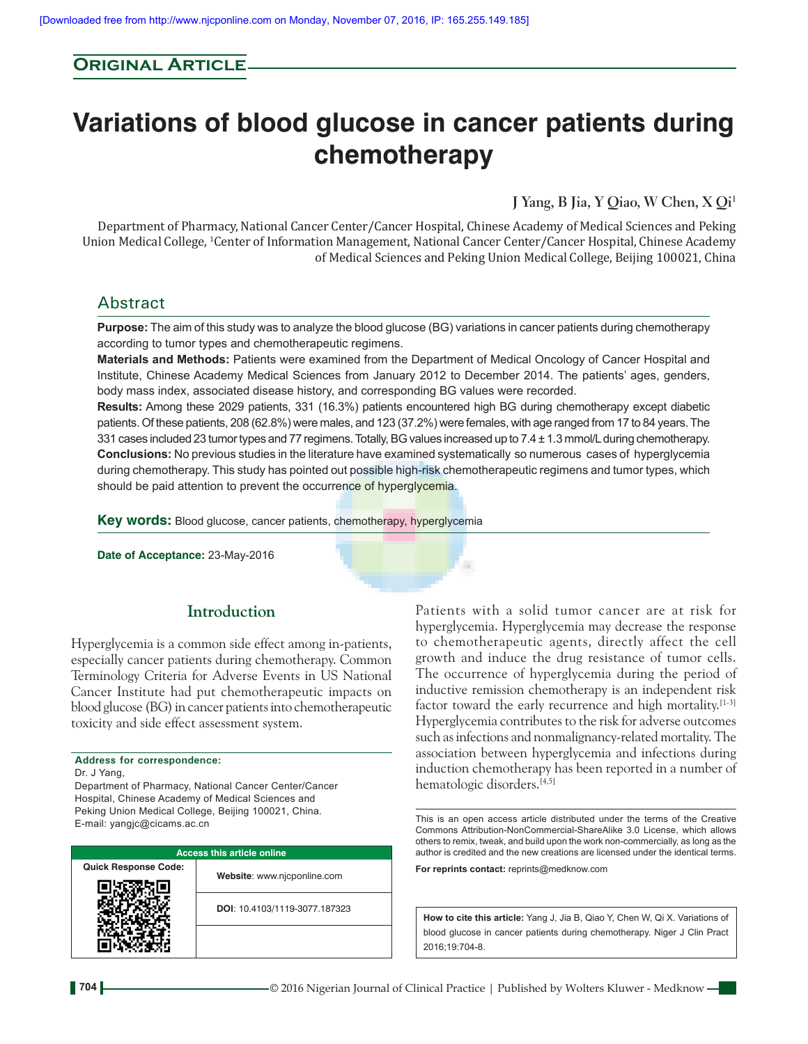# **Original Article**

# **Variations of blood glucose in cancer patients during chemotherapy**

**J Yang, B Jia, Y Qiao, W Chen, X Qi1**

Department of Pharmacy, National Cancer Center/Cancer Hospital, Chinese Academy of Medical Sciences and Peking Union Medical College, <sup>1</sup>Center of Information Management, National Cancer Center/Cancer Hospital, Chinese Academy of Medical Sciences and Peking Union Medical College, Beijing 100021, China

# Abstract

**Purpose:** The aim of this study was to analyze the blood glucose (BG) variations in cancer patients during chemotherapy according to tumor types and chemotherapeutic regimens.

**Materials and Methods:** Patients were examined from the Department of Medical Oncology of Cancer Hospital and Institute, Chinese Academy Medical Sciences from January 2012 to December 2014. The patients' ages, genders, body mass index, associated disease history, and corresponding BG values were recorded.

**Results:** Among these 2029 patients, 331 (16.3%) patients encountered high BG during chemotherapy except diabetic patients. Of these patients, 208 (62.8%) were males, and 123 (37.2%) were females, with age ranged from 17 to 84 years. The 331 cases included 23 tumor types and 77 regimens. Totally, BG values increased up to 7.4 ± 1.3 mmol/L during chemotherapy. **Conclusions:** No previous studies in the literature have examined systematically  so numerous cases of hyperglycemia during chemotherapy. This study has pointed out possible high-risk chemotherapeutic regimens and tumor types, which should be paid attention to prevent the occurrence of hyperglycemia.

a.

**Key words:** Blood glucose, cancer patients, chemotherapy, hyperglycemia

**Date of Acceptance:** 23-May-2016

# **Introduction**

Hyperglycemia is a common side effect among in‑patients, especially cancer patients during chemotherapy. Common Terminology Criteria for Adverse Events in US National Cancer Institute had put chemotherapeutic impacts on blood glucose (BG) in cancer patients into chemotherapeutic toxicity and side effect assessment system.

# **Address for correspondence:**

Dr. J Yang,

Department of Pharmacy, National Cancer Center/Cancer Hospital, Chinese Academy of Medical Sciences and Peking Union Medical College, Beijing 100021, China. E‑mail: yangjc@cicams.ac.cn

| <b>Access this article online</b> |                               |  |  |  |
|-----------------------------------|-------------------------------|--|--|--|
| <b>Quick Response Code:</b>       | Website: www.njcponline.com   |  |  |  |
|                                   | DOI: 10.4103/1119-3077.187323 |  |  |  |
|                                   |                               |  |  |  |

Patients with a solid tumor cancer are at risk for hyperglycemia. Hyperglycemia may decrease the response to chemotherapeutic agents, directly affect the cell growth and induce the drug resistance of tumor cells. The occurrence of hyperglycemia during the period of inductive remission chemotherapy is an independent risk factor toward the early recurrence and high mortality.<sup>[1-3]</sup> Hyperglycemia contributes to the risk for adverse outcomes such as infections and nonmalignancy-related mortality. The association between hyperglycemia and infections during induction chemotherapy has been reported in a number of hematologic disorders.[4,5]

This is an open access article distributed under the terms of the Creative Commons Attribution‑NonCommercial‑ShareAlike 3.0 License, which allows others to remix, tweak, and build upon the work non‑commercially, as long as the author is credited and the new creations are licensed under the identical terms.

**For reprints contact:** reprints@medknow.com

**How to cite this article:** Yang J, Jia B, Qiao Y, Chen W, Qi X. Variations of blood glucose in cancer patients during chemotherapy. Niger J Clin Pract 2016;19:704-8.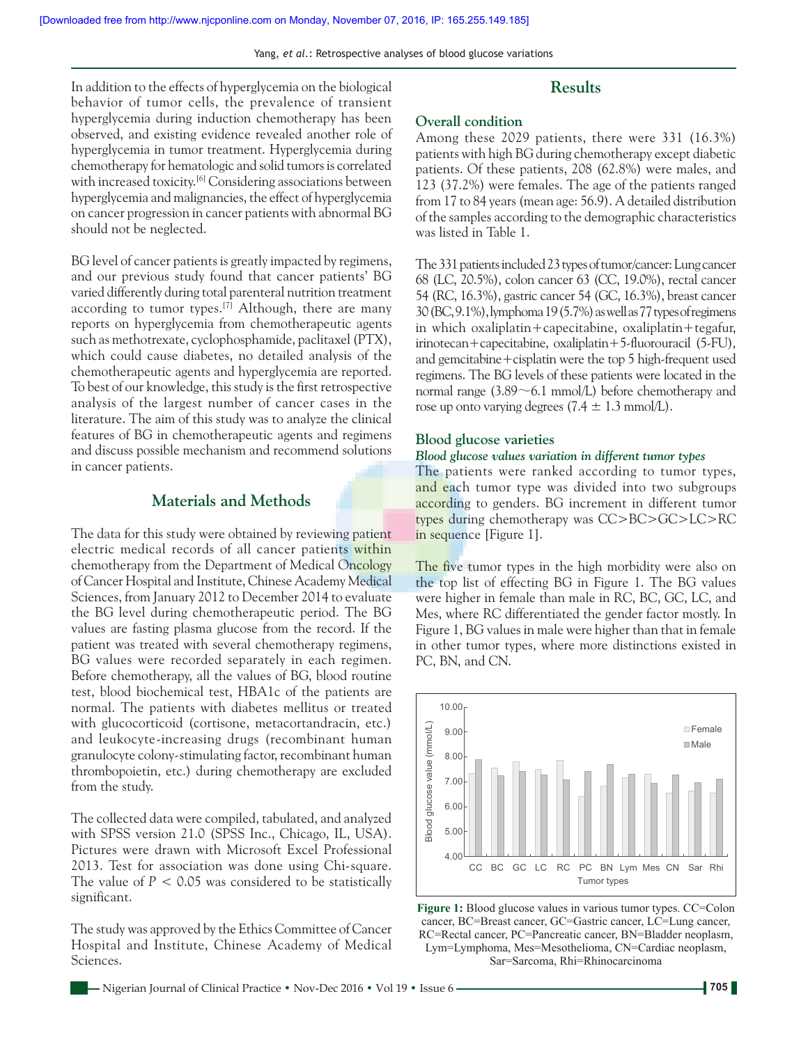Yang, *et al*.: Retrospective analyses of blood glucose variations

In addition to the effects of hyperglycemia on the biological behavior of tumor cells, the prevalence of transient hyperglycemia during induction chemotherapy has been observed, and existing evidence revealed another role of hyperglycemia in tumor treatment. Hyperglycemia during chemotherapy for hematologic and solid tumors is correlated with increased toxicity.<sup>[6]</sup> Considering associations between hyperglycemia and malignancies, the effect of hyperglycemia on cancer progression in cancer patients with abnormal BG should not be neglected.

BG level of cancer patients is greatly impacted by regimens, and our previous study found that cancer patients' BG varied differently during total parenteral nutrition treatment according to tumor types.<sup>[7]</sup> Although, there are many reports on hyperglycemia from chemotherapeutic agents such as methotrexate, cyclophosphamide, paclitaxel (PTX), which could cause diabetes, no detailed analysis of the chemotherapeutic agents and hyperglycemia are reported. To best of our knowledge, this study is the first retrospective analysis of the largest number of cancer cases in the literature. The aim of this study was to analyze the clinical features of BG in chemotherapeutic agents and regimens and discuss possible mechanism and recommend solutions in cancer patients.

# **Materials and Methods**

The data for this study were obtained by reviewing patient electric medical records of all cancer patients within chemotherapy from the Department of Medical Oncology of Cancer Hospital and Institute, Chinese Academy Medical Sciences, from January 2012 to December 2014 to evaluate the BG level during chemotherapeutic period. The BG values are fasting plasma glucose from the record. If the patient was treated with several chemotherapy regimens, BG values were recorded separately in each regimen. Before chemotherapy, all the values of BG, blood routine test, blood biochemical test, HBA1c of the patients are normal. The patients with diabetes mellitus or treated with glucocorticoid (cortisone, metacortandracin, etc.) and leukocyte-increasing drugs (recombinant human granulocyte colony‑stimulating factor, recombinant human thrombopoietin, etc.) during chemotherapy are excluded from the study.

The collected data were compiled, tabulated, and analyzed with SPSS version 21.0 (SPSS Inc., Chicago, IL, USA). Pictures were drawn with Microsoft Excel Professional 2013. Test for association was done using Chi‑square. The value of  $P < 0.05$  was considered to be statistically significant.

The study was approved by the Ethics Committee of Cancer Hospital and Institute, Chinese Academy of Medical Sciences.

## **Results**

## **Overall condition**

Among these 2029 patients, there were 331 (16.3%) patients with high BG during chemotherapy except diabetic patients. Of these patients, 208 (62.8%) were males, and 123 (37.2%) were females. The age of the patients ranged from 17 to 84 years(mean age: 56.9). A detailed distribution of the samples according to the demographic characteristics was listed in Table 1.

The 331 patients included 23 types of tumor/cancer: Lung cancer 68 (LC, 20.5%), colon cancer 63 (CC, 19.0%), rectal cancer 54 (RC, 16.3%), gastric cancer 54 (GC, 16.3%), breast cancer 30 (BC, 9.1%), lymphoma 19(5.7%) as well as 77 types of regimens in which oxaliplatin+capecitabine, oxaliplatin+tegafur, irinotecan+capecitabine, oxaliplatin+5‑fluorouracil (5‑FU), and gemcitabine+cisplatin were the top 5 high-frequent used regimens. The BG levels of these patients were located in the normal range  $(3.89 \sim 6.1 \text{ mmol/L})$  before chemotherapy and rose up onto varying degrees  $(7.4 \pm 1.3 \text{ mmol/L})$ .

#### **Blood glucose varieties**

#### *Blood glucose values variation in different tumor types*

The patients were ranked according to tumor types, and each tumor type was divided into two subgroups according to genders. BG increment in different tumor types during chemotherapy was CC>BC>GC>LC>RC in sequence [Figure 1].

The five tumor types in the high morbidity were also on the top list of effecting BG in Figure 1. The BG values were higher in female than male in RC, BC, GC, LC, and Mes, where RC differentiated the gender factor mostly. In Figure 1, BG values in male were higher than that in female in other tumor types, where more distinctions existed in PC, BN, and CN.



**Figure 1:** Blood glucose values in various tumor types. CC=Colon cancer, BC=Breast cancer, GC=Gastric cancer, LC=Lung cancer, RC=Rectal cancer, PC=Pancreatic cancer, BN=Bladder neoplasm, Lym=Lymphoma, Mes=Mesothelioma, CN=Cardiac neoplasm, Sar=Sarcoma, Rhi=Rhinocarcinoma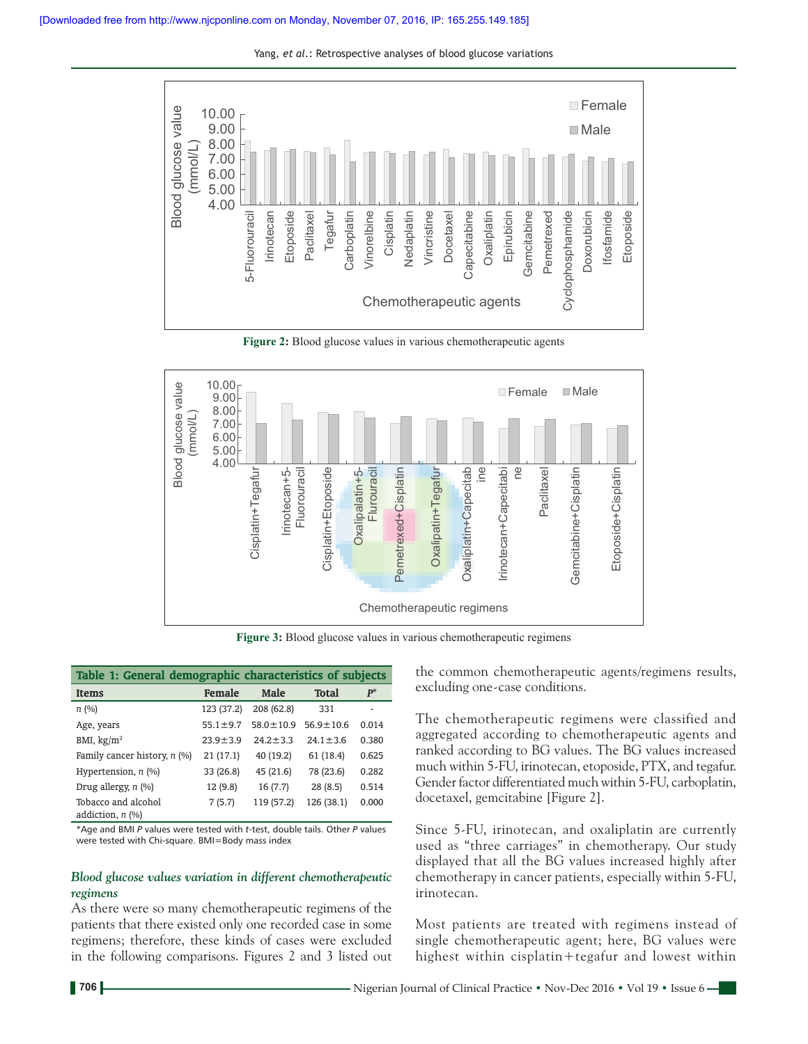Yang, *et al*.: Retrospective analyses of blood glucose variations



**Figure 2:** Blood glucose values in various chemotherapeutic agents



**Figure 3:** Blood glucose values in various chemotherapeutic regimens

| Table 1: General demographic characteristics of subjects |                |                 |                 |       |  |
|----------------------------------------------------------|----------------|-----------------|-----------------|-------|--|
| <b>Items</b>                                             | Female         | <b>Male</b>     | <b>Total</b>    | $P^*$ |  |
| n(%)                                                     | 123 (37.2)     | 208 (62.8)      | 331             |       |  |
| Age, years                                               | $55.1 \pm 9.7$ | $58.0 \pm 10.9$ | $56.9 \pm 10.6$ | 0.014 |  |
| BMI, $\text{kg/m}^2$                                     | $23.9 + 3.9$   | $24.2 \pm 3.3$  | $24.1 \pm 3.6$  | 0.380 |  |
| Family cancer history, $n$ (%)                           | 21(17.1)       | 40 (19.2)       | 61 (18.4)       | 0.625 |  |
| Hypertension, $n$ (%)                                    | 33 (26.8)      | 45 (21.6)       | 78 (23.6)       | 0.282 |  |
| Drug allergy, $n$ (%)                                    | 12 (9.8)       | 16(7.7)         | 28(8.5)         | 0.514 |  |
| Tobacco and alcohol<br>addiction, $n$ (%)                | 7(5.7)         | 119 (57.2)      | 126 (38.1)      | 0.000 |  |

\*Age and BMI *P* values were tested with *t*‑test, double tails. Other *P* values were tested with Chi-square. BMI=Body mass index

#### *Blood glucose values variation in different chemotherapeutic regimens*

As there were so many chemotherapeutic regimens of the patients that there existed only one recorded case in some regimens; therefore, these kinds of cases were excluded in the following comparisons. Figures 2 and 3 listed out the common chemotherapeutic agents/regimens results, excluding one‑case conditions.

The chemotherapeutic regimens were classified and aggregated according to chemotherapeutic agents and ranked according to BG values. The BG values increased much within 5‑FU, irinotecan, etoposide, PTX, and tegafur. Gender factor differentiated much within 5‑FU, carboplatin, docetaxel, gemcitabine [Figure 2].

Since 5‑FU, irinotecan, and oxaliplatin are currently used as "three carriages" in chemotherapy. Our study displayed that all the BG values increased highly after chemotherapy in cancer patients, especially within 5‑FU, irinotecan.

Most patients are treated with regimens instead of single chemotherapeutic agent; here, BG values were highest within cisplatin+tegafur and lowest within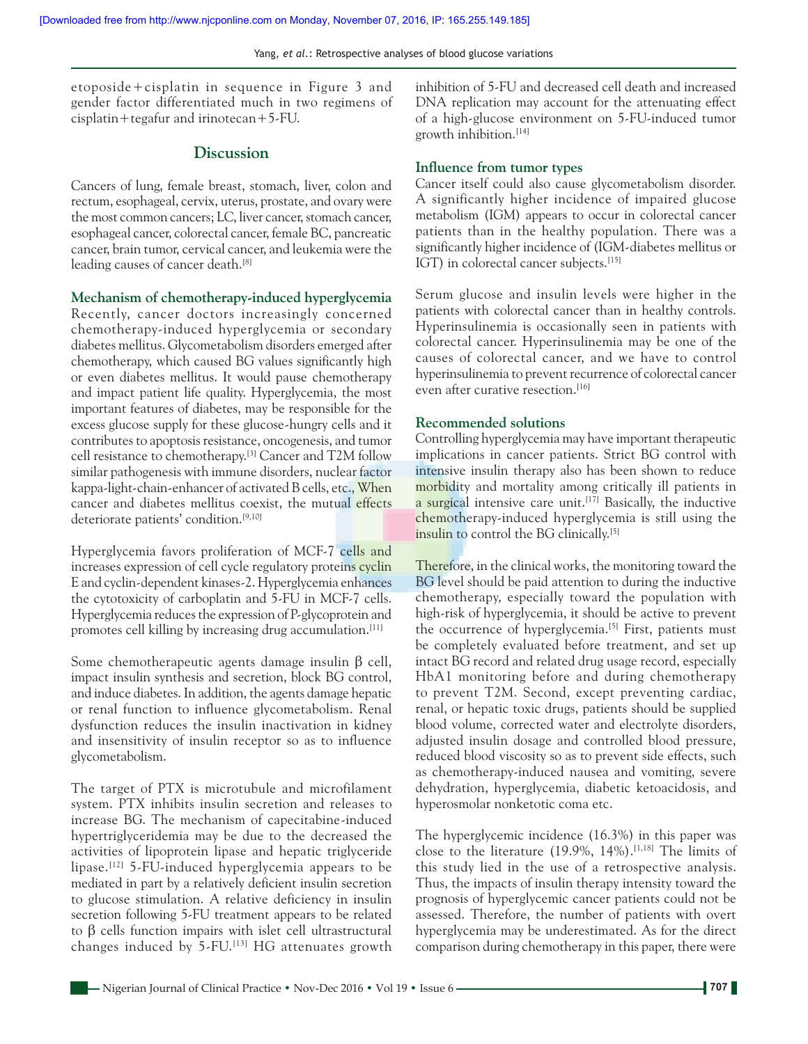etoposide+cisplatin in sequence in Figure 3 and gender factor differentiated much in two regimens of cisplatin+tegafur and irinotecan+5‑FU.

## **Discussion**

Cancers of lung, female breast, stomach, liver, colon and rectum, esophageal, cervix, uterus, prostate, and ovary were the most common cancers; LC, liver cancer, stomach cancer, esophageal cancer, colorectal cancer, female BC, pancreatic cancer, brain tumor, cervical cancer, and leukemia were the leading causes of cancer death.[8]

**Mechanism of chemotherapy‑induced hyperglycemia**

Recently, cancer doctors increasingly concerned chemotherapy-induced hyperglycemia or secondary diabetes mellitus. Glycometabolism disorders emerged after chemotherapy, which caused BG values significantly high or even diabetes mellitus. It would pause chemotherapy and impact patient life quality. Hyperglycemia, the most important features of diabetes, may be responsible for the excess glucose supply for these glucose-hungry cells and it contributes to apoptosis resistance, oncogenesis, and tumor cell resistance to chemotherapy.[3] Cancer and T2M follow similar pathogenesis with immune disorders, nuclear factor kappa-light-chain-enhancer of activated B cells, etc., When cancer and diabetes mellitus coexist, the mutual effects deteriorate patients' condition.<sup>[9,10]</sup>

Hyperglycemia favors proliferation of MCF-7 cells and increases expression of cell cycle regulatory proteins cyclin E and cyclin‑dependent kinases‑2. Hyperglycemia enhances the cytotoxicity of carboplatin and 5‑FU in MCF‑7 cells. Hyperglycemia reduces the expression of P‑glycoprotein and promotes cell killing by increasing drug accumulation.[11]

Some chemotherapeutic agents damage insulin β cell, impact insulin synthesis and secretion, block BG control, and induce diabetes. In addition, the agents damage hepatic or renal function to influence glycometabolism. Renal dysfunction reduces the insulin inactivation in kidney and insensitivity of insulin receptor so as to influence glycometabolism.

The target of PTX is microtubule and microfilament system. PTX inhibits insulin secretion and releases to increase BG. The mechanism of capecitabine‑induced hypertriglyceridemia may be due to the decreased the activities of lipoprotein lipase and hepatic triglyceride lipase.<sup>[12]</sup> 5-FU-induced hyperglycemia appears to be mediated in part by a relatively deficient insulin secretion to glucose stimulation. A relative deficiency in insulin secretion following 5-FU treatment appears to be related to β cells function impairs with islet cell ultrastructural changes induced by 5‑FU.[13] HG attenuates growth inhibition of 5‑FU and decreased cell death and increased DNA replication may account for the attenuating effect of a high‑glucose environment on 5‑FU‑induced tumor growth inhibition.[14]

### **Influence from tumor types**

Cancer itself could also cause glycometabolism disorder. A significantly higher incidence of impaired glucose metabolism (IGM) appears to occur in colorectal cancer patients than in the healthy population. There was a significantly higher incidence of (IGM‑diabetes mellitus or IGT) in colorectal cancer subjects.<sup>[15]</sup>

Serum glucose and insulin levels were higher in the patients with colorectal cancer than in healthy controls. Hyperinsulinemia is occasionally seen in patients with colorectal cancer. Hyperinsulinemia may be one of the causes of colorectal cancer, and we have to control hyperinsulinemia to prevent recurrence of colorectal cancer even after curative resection.<sup>[16]</sup>

#### **Recommended solutions**

Controlling hyperglycemia may have important therapeutic implications in cancer patients. Strict BG control with intensive insulin therapy also has been shown to reduce morbidity and mortality among critically ill patients in a surgical intensive care unit.<sup>[17]</sup> Basically, the inductive chemotherapy‑induced hyperglycemia is still using the insulin to control the BG clinically.<sup>[5]</sup>

Therefore, in the clinical works, the monitoring toward the BG level should be paid attention to during the inductive chemotherapy, especially toward the population with high-risk of hyperglycemia, it should be active to prevent the occurrence of hyperglycemia.<sup>[5]</sup> First, patients must be completely evaluated before treatment, and set up intact BG record and related drug usage record, especially HbA1 monitoring before and during chemotherapy to prevent T2M. Second, except preventing cardiac, renal, or hepatic toxic drugs, patients should be supplied blood volume, corrected water and electrolyte disorders, adjusted insulin dosage and controlled blood pressure, reduced blood viscosity so as to prevent side effects, such as chemotherapy‑induced nausea and vomiting, severe dehydration, hyperglycemia, diabetic ketoacidosis, and hyperosmolar nonketotic coma etc.

The hyperglycemic incidence (16.3%) in this paper was close to the literature  $(19.9\%, 14\%).$ <sup>[1,18]</sup> The limits of this study lied in the use of a retrospective analysis. Thus, the impacts of insulin therapy intensity toward the prognosis of hyperglycemic cancer patients could not be assessed. Therefore, the number of patients with overt hyperglycemia may be underestimated. As for the direct comparison during chemotherapy in this paper, there were